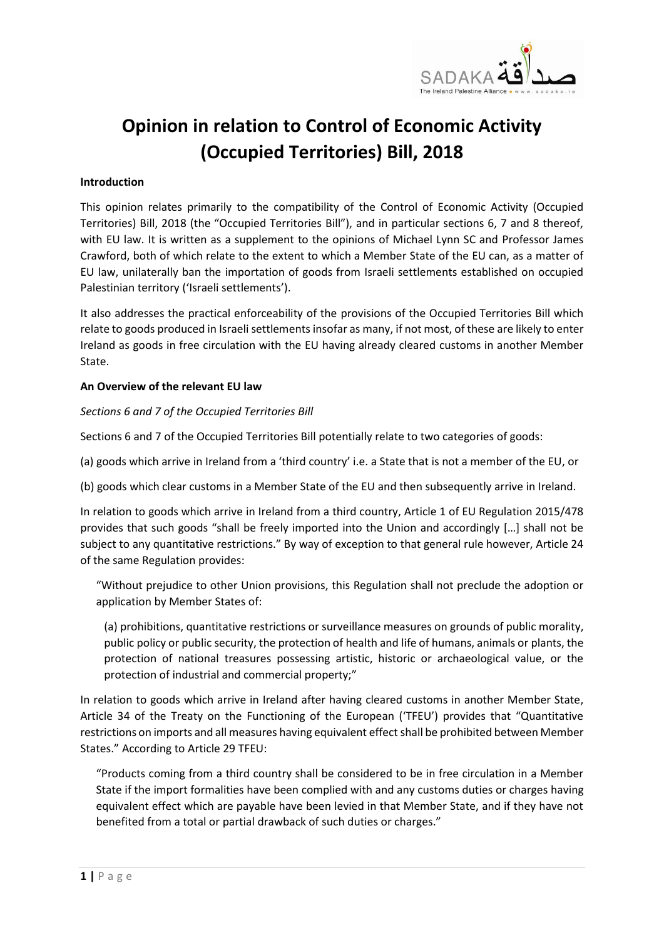

# **Opinion in relation to Control of Economic Activity (Occupied Territories) Bill, 2018**

#### **Introduction**

This opinion relates primarily to the compatibility of the Control of Economic Activity (Occupied Territories) Bill, 2018 (the "Occupied Territories Bill"), and in particular sections 6, 7 and 8 thereof, with EU law. It is written as a supplement to the opinions of Michael Lynn SC and Professor James Crawford, both of which relate to the extent to which a Member State of the EU can, as a matter of EU law, unilaterally ban the importation of goods from Israeli settlements established on occupied Palestinian territory ('Israeli settlements').

It also addresses the practical enforceability of the provisions of the Occupied Territories Bill which relate to goods produced in Israeli settlements insofar as many, if not most, of these are likely to enter Ireland as goods in free circulation with the EU having already cleared customs in another Member State.

## **An Overview of the relevant EU law**

## *Sections 6 and 7 of the Occupied Territories Bill*

Sections 6 and 7 of the Occupied Territories Bill potentially relate to two categories of goods:

(a) goods which arrive in Ireland from a 'third country' i.e. a State that is not a member of the EU, or

(b) goods which clear customs in a Member State of the EU and then subsequently arrive in Ireland.

In relation to goods which arrive in Ireland from a third country, Article 1 of EU Regulation 2015/478 provides that such goods "shall be freely imported into the Union and accordingly […] shall not be subject to any quantitative restrictions." By way of exception to that general rule however, Article 24 of the same Regulation provides:

"Without prejudice to other Union provisions, this Regulation shall not preclude the adoption or application by Member States of:

(a) prohibitions, quantitative restrictions or surveillance measures on grounds of public morality, public policy or public security, the protection of health and life of humans, animals or plants, the protection of national treasures possessing artistic, historic or archaeological value, or the protection of industrial and commercial property;"

In relation to goods which arrive in Ireland after having cleared customs in another Member State, Article 34 of the Treaty on the Functioning of the European ('TFEU') provides that "Quantitative restrictions on imports and all measures having equivalent effect shall be prohibited between Member States." According to Article 29 TFEU:

"Products coming from a third country shall be considered to be in free circulation in a Member State if the import formalities have been complied with and any customs duties or charges having equivalent effect which are payable have been levied in that Member State, and if they have not benefited from a total or partial drawback of such duties or charges."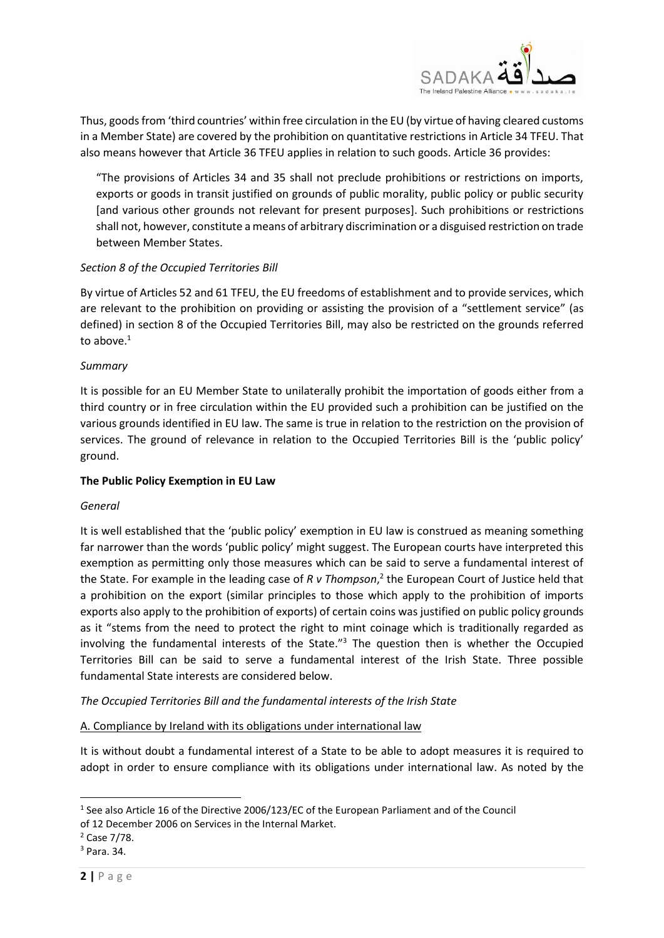

Thus, goods from 'third countries' within free circulation in the EU (by virtue of having cleared customs in a Member State) are covered by the prohibition on quantitative restrictions in Article 34 TFEU. That also means however that Article 36 TFEU applies in relation to such goods. Article 36 provides:

"The provisions of Articles 34 and 35 shall not preclude prohibitions or restrictions on imports, exports or goods in transit justified on grounds of public morality, public policy or public security [and various other grounds not relevant for present purposes]. Such prohibitions or restrictions shall not, however, constitute a means of arbitrary discrimination or a disguised restriction on trade between Member States.

# *Section 8 of the Occupied Territories Bill*

By virtue of Articles 52 and 61 TFEU, the EU freedoms of establishment and to provide services, which are relevant to the prohibition on providing or assisting the provision of a "settlement service" (as defined) in section 8 of the Occupied Territories Bill, may also be restricted on the grounds referred to above. $1$ 

## *Summary*

It is possible for an EU Member State to unilaterally prohibit the importation of goods either from a third country or in free circulation within the EU provided such a prohibition can be justified on the various grounds identified in EU law. The same is true in relation to the restriction on the provision of services. The ground of relevance in relation to the Occupied Territories Bill is the 'public policy' ground.

#### **The Public Policy Exemption in EU Law**

#### *General*

It is well established that the 'public policy' exemption in EU law is construed as meaning something far narrower than the words 'public policy' might suggest. The European courts have interpreted this exemption as permitting only those measures which can be said to serve a fundamental interest of the State. For example in the leading case of *R v Thompson*, 2 the European Court of Justice held that a prohibition on the export (similar principles to those which apply to the prohibition of imports exports also apply to the prohibition of exports) of certain coins was justified on public policy grounds as it "stems from the need to protect the right to mint coinage which is traditionally regarded as involving the fundamental interests of the State."<sup>3</sup> The question then is whether the Occupied Territories Bill can be said to serve a fundamental interest of the Irish State. Three possible fundamental State interests are considered below.

*The Occupied Territories Bill and the fundamental interests of the Irish State*

A. Compliance by Ireland with its obligations under international law

It is without doubt a fundamental interest of a State to be able to adopt measures it is required to adopt in order to ensure compliance with its obligations under international law. As noted by the

1

<sup>&</sup>lt;sup>1</sup> See also Article 16 of the Directive 2006/123/EC of the European Parliament and of the Council of 12 December 2006 on Services in the Internal Market.

<sup>2</sup> Case 7/78.

<sup>3</sup> Para. 34.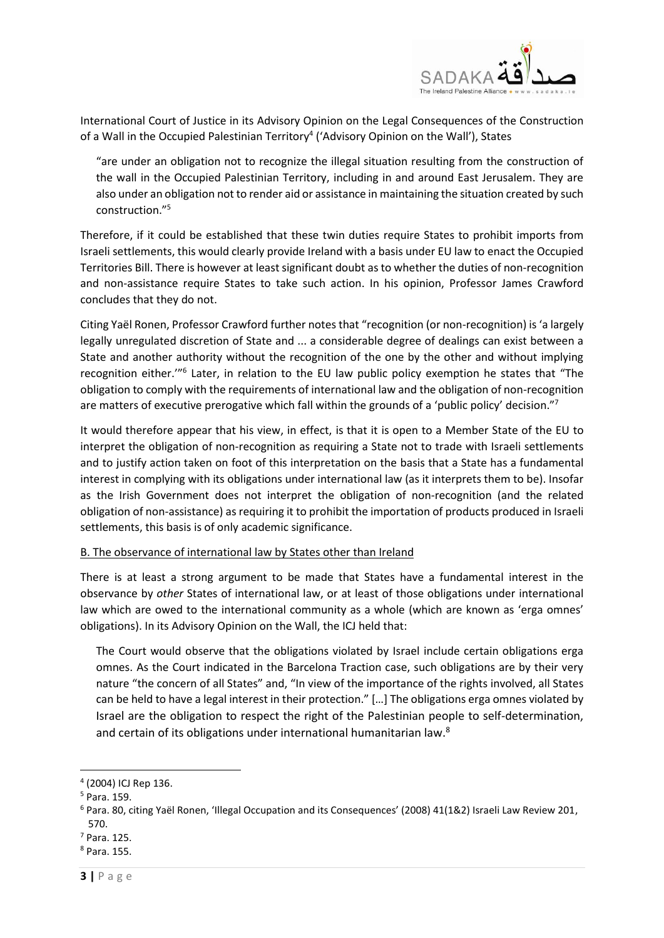

International Court of Justice in its Advisory Opinion on the Legal Consequences of the Construction of a Wall in the Occupied Palestinian Territory<sup>4</sup> ('Advisory Opinion on the Wall'), States

"are under an obligation not to recognize the illegal situation resulting from the construction of the wall in the Occupied Palestinian Territory, including in and around East Jerusalem. They are also under an obligation not to render aid or assistance in maintaining the situation created by such construction." 5

Therefore, if it could be established that these twin duties require States to prohibit imports from Israeli settlements, this would clearly provide Ireland with a basis under EU law to enact the Occupied Territories Bill. There is however at least significant doubt as to whether the duties of non-recognition and non-assistance require States to take such action. In his opinion, Professor James Crawford concludes that they do not.

Citing Yaël Ronen, Professor Crawford further notes that "recognition (or non-recognition) is 'a largely legally unregulated discretion of State and ... a considerable degree of dealings can exist between a State and another authority without the recognition of the one by the other and without implying recognition either."<sup>6</sup> Later, in relation to the EU law public policy exemption he states that "The obligation to comply with the requirements of international law and the obligation of non-recognition are matters of executive prerogative which fall within the grounds of a 'public policy' decision."<sup>7</sup>

It would therefore appear that his view, in effect, is that it is open to a Member State of the EU to interpret the obligation of non-recognition as requiring a State not to trade with Israeli settlements and to justify action taken on foot of this interpretation on the basis that a State has a fundamental interest in complying with its obligations under international law (as it interprets them to be). Insofar as the Irish Government does not interpret the obligation of non-recognition (and the related obligation of non-assistance) as requiring it to prohibit the importation of products produced in Israeli settlements, this basis is of only academic significance.

#### B. The observance of international law by States other than Ireland

There is at least a strong argument to be made that States have a fundamental interest in the observance by *other* States of international law, or at least of those obligations under international law which are owed to the international community as a whole (which are known as 'erga omnes' obligations). In its Advisory Opinion on the Wall, the ICJ held that:

The Court would observe that the obligations violated by Israel include certain obligations erga omnes. As the Court indicated in the Barcelona Traction case, such obligations are by their very nature "the concern of all States" and, "In view of the importance of the rights involved, all States can be held to have a legal interest in their protection." […] The obligations erga omnes violated by Israel are the obligation to respect the right of the Palestinian people to self-determination, and certain of its obligations under international humanitarian law.<sup>8</sup>

**.** 

<sup>4</sup> (2004) ICJ Rep 136.

<sup>5</sup> Para. 159.

 $6$  Para. 80, citing Yaël Ronen, 'Illegal Occupation and its Consequences' (2008) 41(1&2) Israeli Law Review 201, 570.

<sup>7</sup> Para. 125.

<sup>8</sup> Para. 155.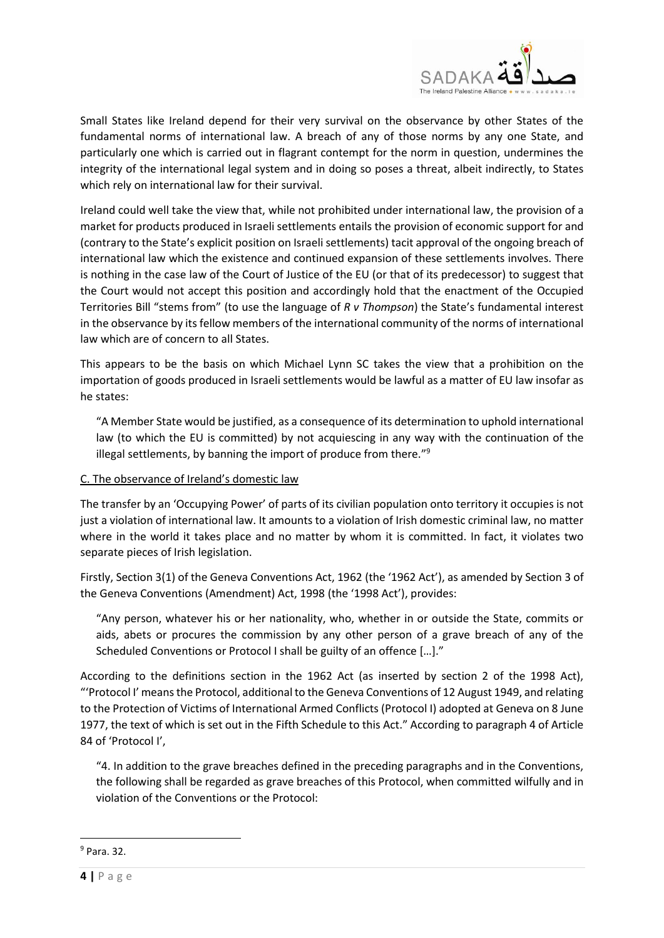

Small States like Ireland depend for their very survival on the observance by other States of the fundamental norms of international law. A breach of any of those norms by any one State, and particularly one which is carried out in flagrant contempt for the norm in question, undermines the integrity of the international legal system and in doing so poses a threat, albeit indirectly, to States which rely on international law for their survival.

Ireland could well take the view that, while not prohibited under international law, the provision of a market for products produced in Israeli settlements entails the provision of economic support for and (contrary to the State's explicit position on Israeli settlements) tacit approval of the ongoing breach of international law which the existence and continued expansion of these settlements involves. There is nothing in the case law of the Court of Justice of the EU (or that of its predecessor) to suggest that the Court would not accept this position and accordingly hold that the enactment of the Occupied Territories Bill "stems from" (to use the language of *R v Thompson*) the State's fundamental interest in the observance by its fellow members of the international community of the norms of international law which are of concern to all States.

This appears to be the basis on which Michael Lynn SC takes the view that a prohibition on the importation of goods produced in Israeli settlements would be lawful as a matter of EU law insofar as he states:

"A Member State would be justified, as a consequence of its determination to uphold international law (to which the EU is committed) by not acquiescing in any way with the continuation of the illegal settlements, by banning the import of produce from there."<sup>9</sup>

# C. The observance of Ireland's domestic law

The transfer by an 'Occupying Power' of parts of its civilian population onto territory it occupies is not just a violation of international law. It amounts to a violation of Irish domestic criminal law, no matter where in the world it takes place and no matter by whom it is committed. In fact, it violates two separate pieces of Irish legislation.

Firstly, Section 3(1) of the Geneva Conventions Act, 1962 (the '1962 Act'), as amended by Section 3 of the Geneva Conventions (Amendment) Act, 1998 (the '1998 Act'), provides:

"Any person, whatever his or her nationality, who, whether in or outside the State, commits or aids, abets or procures the commission by any other person of a grave breach of any of the Scheduled Conventions or Protocol I shall be guilty of an offence […]."

According to the definitions section in the 1962 Act (as inserted by section 2 of the 1998 Act), "'Protocol I' means the Protocol, additional to the Geneva Conventions of 12 August 1949, and relating to the Protection of Victims of International Armed Conflicts (Protocol I) adopted at Geneva on 8 June 1977, the text of which is set out in the Fifth Schedule to this Act." According to paragraph 4 of Article 84 of 'Protocol I',

"4. In addition to the grave breaches defined in the preceding paragraphs and in the Conventions, the following shall be regarded as grave breaches of this Protocol, when committed wilfully and in violation of the Conventions or the Protocol:

**.** 

<sup>9</sup> Para. 32.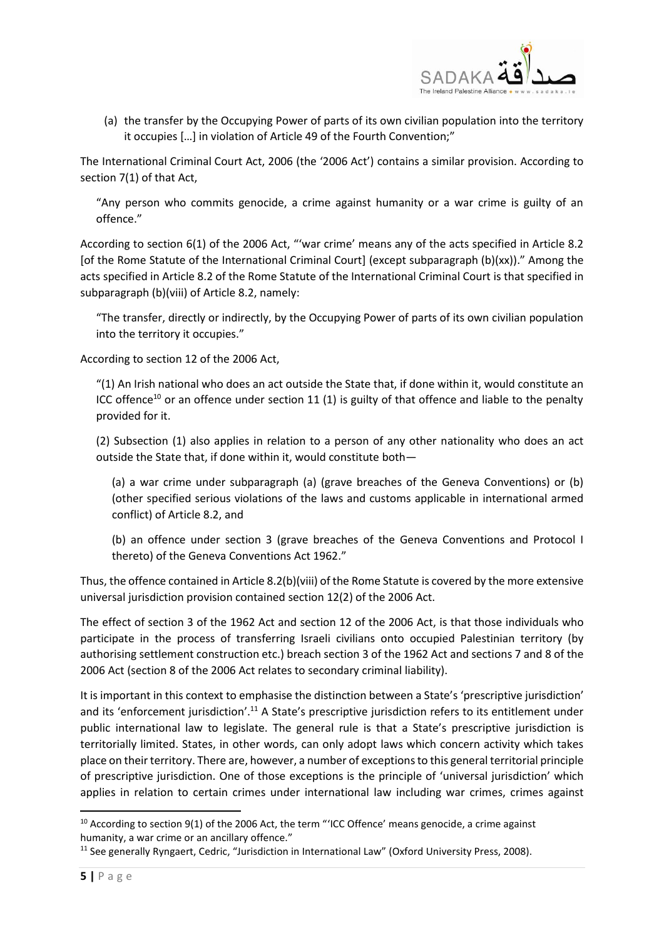

(a) the transfer by the Occupying Power of parts of its own civilian population into the territory it occupies […] in violation of Article 49 of the Fourth Convention;"

The International Criminal Court Act, 2006 (the '2006 Act') contains a similar provision. According to section 7(1) of that Act,

"Any person who commits genocide, a crime against humanity or a war crime is guilty of an offence."

According to section 6(1) of the 2006 Act, "'war crime' means any of the acts specified in Article 8.2 [of the Rome Statute of the International Criminal Court] (except subparagraph (b)(xx))." Among the acts specified in Article 8.2 of the Rome Statute of the International Criminal Court is that specified in subparagraph (b)(viii) of Article 8.2, namely:

"The transfer, directly or indirectly, by the Occupying Power of parts of its own civilian population into the territory it occupies."

According to section 12 of the 2006 Act,

"(1) An Irish national who does an act outside the State that, if done within it, would constitute an ICC offence<sup>10</sup> or an offence under section 11 (1) is guilty of that offence and liable to the penalty provided for it.

(2) Subsection (1) also applies in relation to a person of any other nationality who does an act outside the State that, if done within it, would constitute both—

(a) a war crime under subparagraph (a) (grave breaches of the Geneva Conventions) or (b) (other specified serious violations of the laws and customs applicable in international armed conflict) of Article 8.2, and

(b) an offence under section 3 (grave breaches of the Geneva Conventions and Protocol I thereto) of the Geneva Conventions Act 1962."

Thus, the offence contained in Article 8.2(b)(viii) of the Rome Statute is covered by the more extensive universal jurisdiction provision contained section 12(2) of the 2006 Act.

The effect of section 3 of the 1962 Act and section 12 of the 2006 Act, is that those individuals who participate in the process of transferring Israeli civilians onto occupied Palestinian territory (by authorising settlement construction etc.) breach section 3 of the 1962 Act and sections 7 and 8 of the 2006 Act (section 8 of the 2006 Act relates to secondary criminal liability).

It is important in this context to emphasise the distinction between a State's 'prescriptive jurisdiction' and its 'enforcement jurisdiction'.<sup>11</sup> A State's prescriptive jurisdiction refers to its entitlement under public international law to legislate. The general rule is that a State's prescriptive jurisdiction is territorially limited. States, in other words, can only adopt laws which concern activity which takes place on their territory. There are, however, a number of exceptions to this general territorial principle of prescriptive jurisdiction. One of those exceptions is the principle of 'universal jurisdiction' which applies in relation to certain crimes under international law including war crimes, crimes against

**.** 

<sup>&</sup>lt;sup>10</sup> According to section 9(1) of the 2006 Act, the term "'ICC Offence' means genocide, a crime against humanity, a war crime or an ancillary offence."

<sup>&</sup>lt;sup>11</sup> See generally Ryngaert, Cedric, "Jurisdiction in International Law" (Oxford University Press, 2008).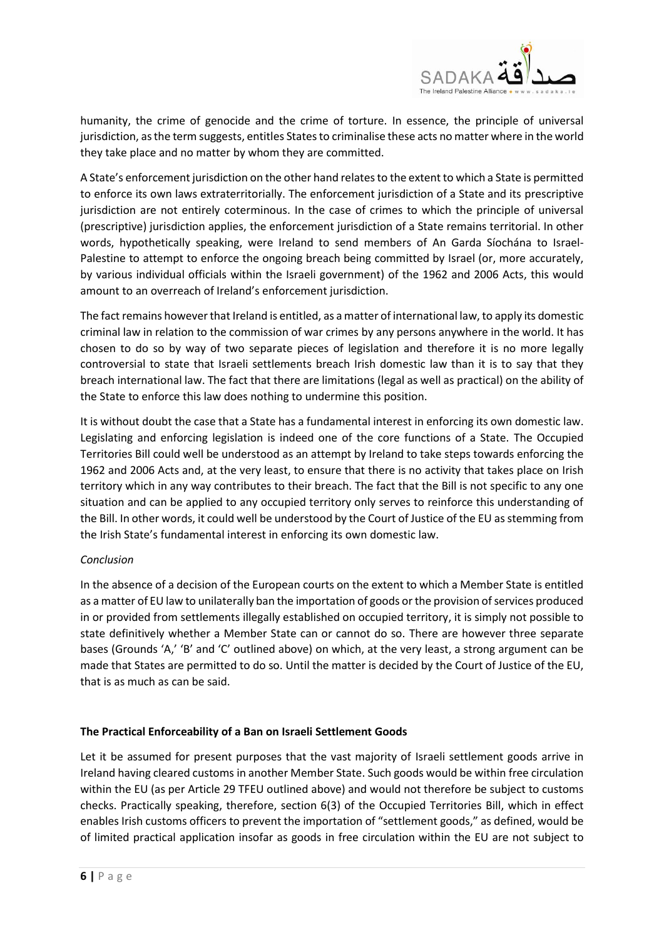

humanity, the crime of genocide and the crime of torture. In essence, the principle of universal jurisdiction, as the term suggests, entitles States to criminalise these acts no matter where in the world they take place and no matter by whom they are committed.

A State's enforcement jurisdiction on the other hand relates to the extent to which a State is permitted to enforce its own laws extraterritorially. The enforcement jurisdiction of a State and its prescriptive jurisdiction are not entirely coterminous. In the case of crimes to which the principle of universal (prescriptive) jurisdiction applies, the enforcement jurisdiction of a State remains territorial. In other words, hypothetically speaking, were Ireland to send members of An Garda Síochána to Israel-Palestine to attempt to enforce the ongoing breach being committed by Israel (or, more accurately, by various individual officials within the Israeli government) of the 1962 and 2006 Acts, this would amount to an overreach of Ireland's enforcement jurisdiction.

The fact remains however that Ireland is entitled, as a matter of international law, to apply its domestic criminal law in relation to the commission of war crimes by any persons anywhere in the world. It has chosen to do so by way of two separate pieces of legislation and therefore it is no more legally controversial to state that Israeli settlements breach Irish domestic law than it is to say that they breach international law. The fact that there are limitations (legal as well as practical) on the ability of the State to enforce this law does nothing to undermine this position.

It is without doubt the case that a State has a fundamental interest in enforcing its own domestic law. Legislating and enforcing legislation is indeed one of the core functions of a State. The Occupied Territories Bill could well be understood as an attempt by Ireland to take steps towards enforcing the 1962 and 2006 Acts and, at the very least, to ensure that there is no activity that takes place on Irish territory which in any way contributes to their breach. The fact that the Bill is not specific to any one situation and can be applied to any occupied territory only serves to reinforce this understanding of the Bill. In other words, it could well be understood by the Court of Justice of the EU as stemming from the Irish State's fundamental interest in enforcing its own domestic law.

# *Conclusion*

In the absence of a decision of the European courts on the extent to which a Member State is entitled as a matter of EU law to unilaterally ban the importation of goods or the provision of services produced in or provided from settlements illegally established on occupied territory, it is simply not possible to state definitively whether a Member State can or cannot do so. There are however three separate bases (Grounds 'A,' 'B' and 'C' outlined above) on which, at the very least, a strong argument can be made that States are permitted to do so. Until the matter is decided by the Court of Justice of the EU, that is as much as can be said.

# **The Practical Enforceability of a Ban on Israeli Settlement Goods**

Let it be assumed for present purposes that the vast majority of Israeli settlement goods arrive in Ireland having cleared customs in another Member State. Such goods would be within free circulation within the EU (as per Article 29 TFEU outlined above) and would not therefore be subject to customs checks. Practically speaking, therefore, section 6(3) of the Occupied Territories Bill, which in effect enables Irish customs officers to prevent the importation of "settlement goods," as defined, would be of limited practical application insofar as goods in free circulation within the EU are not subject to